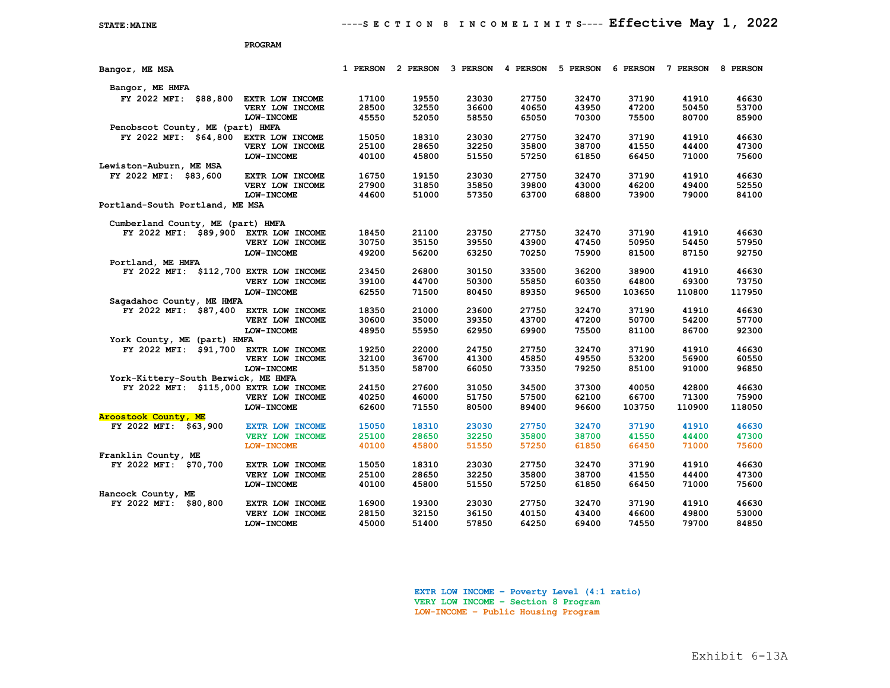|                                                       | PROGRAM                   |          |          |          |          |          |          |          |          |
|-------------------------------------------------------|---------------------------|----------|----------|----------|----------|----------|----------|----------|----------|
| Bangor, ME MSA                                        |                           | 1 PERSON | 2 PERSON | 3 PERSON | 4 PERSON | 5 PERSON | 6 PERSON | 7 PERSON | 8 PERSON |
| Bangor, ME HMFA                                       |                           |          |          |          |          |          |          |          |          |
| FY 2022 MFI:<br>\$88,800                              | EXTR LOW INCOME           | 17100    | 19550    | 23030    | 27750    | 32470    | 37190    | 41910    | 46630    |
|                                                       | VERY LOW INCOME           | 28500    | 32550    | 36600    | 40650    | 43950    | 47200    | 50450    | 53700    |
|                                                       | <b>LOW-INCOME</b>         | 45550    | 52050    | 58550    | 65050    | 70300    | 75500    | 80700    | 85900    |
| Penobscot County, ME (part) HMFA                      |                           |          |          |          |          |          |          |          |          |
| FY 2022 MFI: \$64,800                                 | EXTR LOW INCOME           | 15050    | 18310    | 23030    | 27750    | 32470    | 37190    | 41910    | 46630    |
|                                                       | VERY LOW INCOME           | 25100    | 28650    | 32250    | 35800    | 38700    | 41550    | 44400    | 47300    |
|                                                       | <b>LOW-INCOME</b>         | 40100    | 45800    | 51550    | 57250    | 61850    | 66450    | 71000    | 75600    |
| Lewiston-Auburn, ME MSA                               |                           |          |          |          |          |          |          |          |          |
| FY 2022 MFI: \$83,600                                 | EXTR LOW INCOME           | 16750    | 19150    | 23030    | 27750    | 32470    | 37190    | 41910    | 46630    |
|                                                       | VERY LOW INCOME           | 27900    | 31850    | 35850    | 39800    | 43000    | 46200    | 49400    | 52550    |
|                                                       | <b>LOW-INCOME</b>         | 44600    | 51000    | 57350    | 63700    | 68800    | 73900    | 79000    | 84100    |
| Portland-South Portland, ME MSA                       |                           |          |          |          |          |          |          |          |          |
|                                                       |                           |          |          |          |          |          |          |          |          |
| Cumberland County, ME (part) HMFA                     |                           |          |          |          |          |          |          |          |          |
| FY 2022 MFI: \$89,900                                 | EXTR LOW INCOME           | 18450    | 21100    | 23750    | 27750    | 32470    | 37190    | 41910    | 46630    |
|                                                       | VERY LOW INCOME           | 30750    | 35150    | 39550    | 43900    | 47450    | 50950    | 54450    | 57950    |
|                                                       | <b>LOW-INCOME</b>         | 49200    | 56200    | 63250    | 70250    | 75900    | 81500    | 87150    | 92750    |
| Portland, ME HMFA                                     |                           |          |          |          |          |          |          |          |          |
| FY 2022 MFI:                                          | \$112,700 EXTR LOW INCOME | 23450    | 26800    | 30150    | 33500    | 36200    | 38900    | 41910    | 46630    |
|                                                       | VERY LOW INCOME           | 39100    | 44700    | 50300    | 55850    | 60350    | 64800    | 69300    | 73750    |
|                                                       | <b>LOW-INCOME</b>         | 62550    | 71500    | 80450    | 89350    | 96500    | 103650   | 110800   | 117950   |
| Sagadahoc County, ME HMFA                             |                           |          |          |          |          |          |          |          |          |
| FY 2022 MFI: \$87,400                                 | EXTR LOW INCOME           | 18350    | 21000    | 23600    | 27750    | 32470    | 37190    | 41910    | 46630    |
|                                                       | VERY LOW INCOME           | 30600    | 35000    | 39350    | 43700    | 47200    | 50700    | 54200    | 57700    |
|                                                       | <b>LOW-INCOME</b>         | 48950    | 55950    | 62950    | 69900    | 75500    | 81100    | 86700    | 92300    |
| York County, ME (part) HMFA                           |                           |          |          |          |          |          |          |          |          |
| FY 2022 MFI:<br>\$91,700                              | EXTR LOW INCOME           | 19250    | 22000    | 24750    | 27750    | 32470    | 37190    | 41910    | 46630    |
|                                                       | VERY LOW INCOME           | 32100    | 36700    | 41300    | 45850    | 49550    | 53200    | 56900    | 60550    |
|                                                       | <b>LOW-INCOME</b>         | 51350    | 58700    | 66050    | 73350    | 79250    | 85100    | 91000    | 96850    |
| York-Kittery-South Berwick, ME HMFA                   |                           |          |          |          |          |          |          |          |          |
| FY 2022 MFI: \$115,000 EXTR LOW INCOME                |                           | 24150    | 27600    | 31050    | 34500    | 37300    | 40050    | 42800    | 46630    |
|                                                       | VERY LOW INCOME           | 40250    | 46000    | 51750    | 57500    | 62100    | 66700    | 71300    | 75900    |
|                                                       | <b>LOW-INCOME</b>         | 62600    | 71550    | 80500    | 89400    | 96600    | 103750   | 110900   | 118050   |
| <b>Aroostook County, ME</b>                           |                           |          |          |          |          |          |          |          |          |
| FY 2022 MFI:<br>\$63,900                              | <b>EXTR LOW INCOME</b>    | 15050    | 18310    | 23030    | 27750    | 32470    | 37190    | 41910    | 46630    |
|                                                       | <b>VERY LOW INCOME</b>    | 25100    | 28650    | 32250    | 35800    | 38700    | 41550    | 44400    | 47300    |
|                                                       | <b>LOW-INCOME</b>         | 40100    | 45800    | 51550    | 57250    | 61850    | 66450    | 71000    | 75600    |
| Franklin County, ME                                   |                           |          |          |          |          |          |          |          |          |
| FY 2022 MFI:<br>\$70,700                              | EXTR LOW INCOME           | 15050    | 18310    | 23030    | 27750    | 32470    | 37190    | 41910    | 46630    |
|                                                       | VERY LOW INCOME           | 25100    | 28650    | 32250    | 35800    | 38700    | 41550    | 44400    | 47300    |
|                                                       | <b>LOW-INCOME</b>         | 40100    | 45800    | 51550    | 57250    | 61850    | 66450    | 71000    | 75600    |
|                                                       |                           |          |          |          |          |          |          |          |          |
| Hancock County, ME<br>\$80,800<br><b>FY 2022 MFI:</b> | EXTR LOW INCOME           | 16900    | 19300    | 23030    | 27750    | 32470    | 37190    | 41910    | 46630    |
|                                                       | VERY LOW INCOME           | 28150    | 32150    | 36150    | 40150    | 43400    | 46600    | 49800    | 53000    |
|                                                       |                           |          |          |          |          |          |          |          |          |
|                                                       | <b>LOW-INCOME</b>         | 45000    | 51400    | 57850    | 64250    | 69400    | 74550    | 79700    | 84850    |

**EXTR LOW INCOME – Poverty Level (4:1 ratio) VERY LOW INCOME – Section 8 Program LOW-INCOME – Public Housing Program**